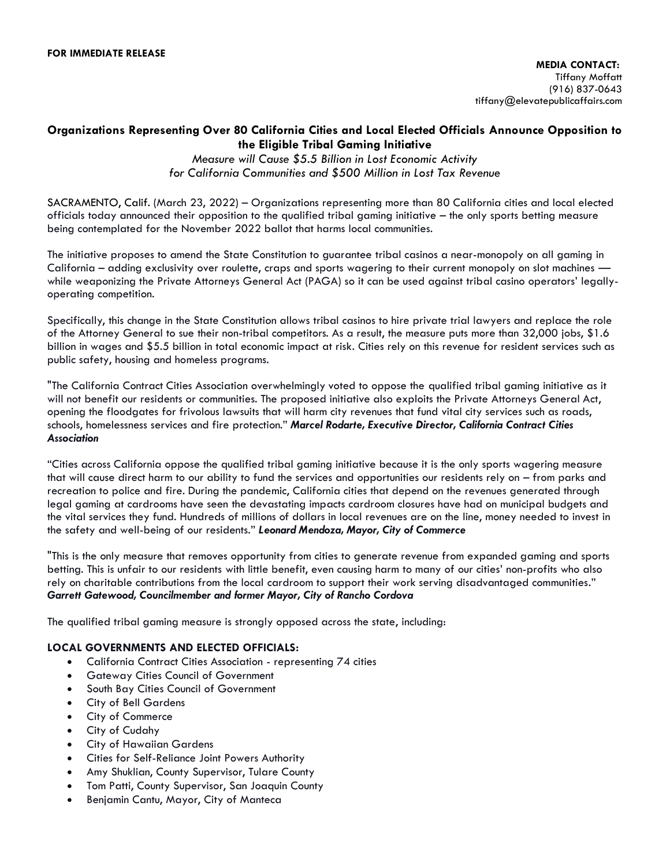## **Organizations Representing Over 80 California Cities and Local Elected Officials Announce Opposition to the Eligible Tribal Gaming Initiative**

*Measure will Cause \$5.5 Billion in Lost Economic Activity for California Communities and \$500 Million in Lost Tax Revenue*

SACRAMENTO, Calif. (March 23, 2022) – Organizations representing more than 80 California cities and local elected officials today announced their opposition to the qualified tribal gaming initiative – the only sports betting measure being contemplated for the November 2022 ballot that harms local communities.

The initiative proposes to amend the State Constitution to guarantee tribal casinos a near-monopoly on all gaming in California – adding exclusivity over roulette, craps and sports wagering to their current monopoly on slot machines while weaponizing the Private Attorneys General Act (PAGA) so it can be used against tribal casino operators' legallyoperating competition.

Specifically, this change in the State Constitution allows tribal casinos to hire private trial lawyers and replace the role of the Attorney General to sue their non-tribal competitors. As a result, the measure puts more than 32,000 jobs, \$1.6 billion in wages and \$5.5 billion in total economic impact at risk. Cities rely on this revenue for resident services such as public safety, housing and homeless programs.

"The California Contract Cities Association overwhelmingly voted to oppose the qualified tribal gaming initiative as it will not benefit our residents or communities. The proposed initiative also exploits the Private Attorneys General Act, opening the floodgates for frivolous lawsuits that will harm city revenues that fund vital city services such as roads, schools, homelessness services and fire protection." *Marcel Rodarte, Executive Director, California Contract Cities Association*

"Cities across California oppose the qualified tribal gaming initiative because it is the only sports wagering measure that will cause direct harm to our ability to fund the services and opportunities our residents rely on – from parks and recreation to police and fire. During the pandemic, California cities that depend on the revenues generated through legal gaming at cardrooms have seen the devastating impacts cardroom closures have had on municipal budgets and the vital services they fund. Hundreds of millions of dollars in local revenues are on the line, money needed to invest in the safety and well-being of our residents." *Leonard Mendoza, Mayor, City of Commerce*

"This is the only measure that removes opportunity from cities to generate revenue from expanded gaming and sports betting. This is unfair to our residents with little benefit, even causing harm to many of our cities' non-profits who also rely on charitable contributions from the local cardroom to support their work serving disadvantaged communities." *Garrett Gatewood, Councilmember and former Mayor, City of Rancho Cordova*

The qualified tribal gaming measure is strongly opposed across the state, including:

## **LOCAL GOVERNMENTS AND ELECTED OFFICIALS:**

- California Contract Cities Association representing 74 cities
- Gateway Cities Council of Government
- South Bay Cities Council of Government
- City of Bell Gardens
- City of Commerce
- City of Cudahy
- City of Hawaiian Gardens
- Cities for Self-Reliance Joint Powers Authority
- Amy Shuklian, County Supervisor, Tulare County
- Tom Patti, County Supervisor, San Joaquin County
- Benjamin Cantu, Mayor, City of Manteca